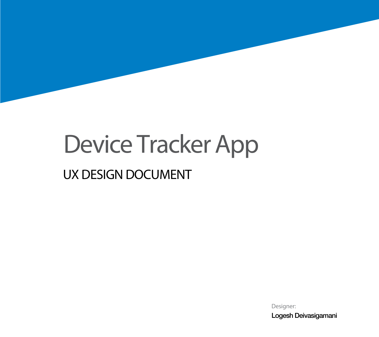## Device Tracker App

## UX DESIGN DOCUMENT

Designer: Logesh Deivasigamani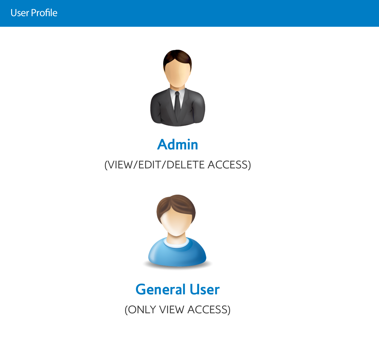

## **Admin** (VIEW/EDIT/DELETE ACCESS)



## **General User**

(ONLY VIEW ACCESS)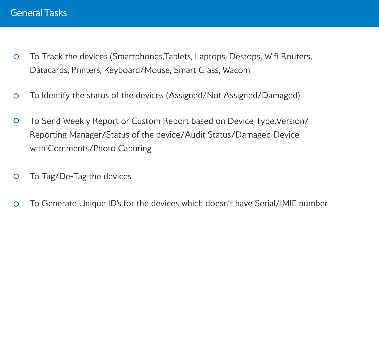- To Track the devices (Smartphones,Tablets, Laptops, Destops, Wifi Routers,  $\mathbf{O}$ Datacards, Printers, Keyboard/Mouse, Smart Glass, Wacom
- To Identify the status of the devices (Assigned/Not Assigned/Damaged)  $\overline{O}$
- To Send Weekly Report or Custom Report based on Device Type,Version/  $\overline{O}$ Reporting Manager/Status of the device/Audit Status/Damaged Device with Comments/Photo Capuring
- To Tag/De-Tag the devices  $\mathbf{O}$
- To Generate Unique ID's for the devices which doesn't have Serial/IMIE number  $\Omega$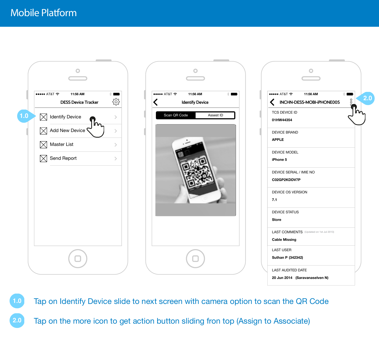$\circ$ **•••••** AT&T  $\widehat{\mathbb{R}}$  11:56 AM **•••••** AT&T  $\widehat{\tau}$  **11:56 AM** ट्ठे **DESS Device Tracker** ≺ **1.0** Scan QR Code Assest ID  $\bowtie$ Identify Device 0 Add New Device  $\rightarrow$ Master List  $\boxtimes$  $\rightarrow$  $\boxtimes$ Send Report  $\,$ 

| $\bullet\bullet\bullet\bullet$ AT&T $\widehat{\phantom{1}}$ 11:56 AM |                                         | $\ast$        |
|----------------------------------------------------------------------|-----------------------------------------|---------------|
|                                                                      | INCHN-DESS-MOBI-iPHONE005               | $\frac{0}{2}$ |
| <b>TCS DEVICE ID</b>                                                 |                                         |               |
| 01HW44354                                                            |                                         |               |
| <b>DEVICE BRAND</b>                                                  |                                         |               |
| <b>APPLE</b>                                                         |                                         |               |
| DEVICE MODEL                                                         |                                         |               |
| iPhone 5                                                             |                                         |               |
| DEVICE SERIAL / IMIE NO                                              |                                         |               |
| C02GP2KDDV7P                                                         |                                         |               |
| <b>DEVICE OS VERSION</b>                                             |                                         |               |
| 7.1                                                                  |                                         |               |
| <b>DEVICE STATUS</b>                                                 |                                         |               |
| <b>Store</b>                                                         |                                         |               |
|                                                                      | LAST COMMENTS (Updated on 1st Jul 2013) |               |
| <b>Cable Missing</b>                                                 |                                         |               |
| <b>LAST USER</b>                                                     |                                         |               |
| Suthan P (342342)                                                    |                                         |               |

**1.0** Tap on Identify Device slide to next screen with camera option to scan the QR Code

**Identify Device**

 $\circ$ 

**2.0** Tap on the more icon to get action button sliding fron top (Assign to Associate)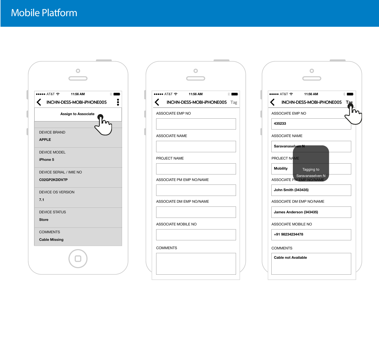$\circ$ **•••••** AT&T  $\widehat{\tau}$  11:56 AM Y)  $\blacksquare$  $\ddot{\bullet}$  $\left\langle \right\rangle$ **INCHN-DESS-MOBI-iPHONE005 Assign to Associate 01HW44354** n DEVICE BRAND **APPLE** DEVICE MODEL **iPhone 5** DEVICE SERIAL / IMIE NO **C02GP2KDDV7P** DEVICE OS VERSION **7.1** DEVICE STATUS **Store COMMENTS Cable Missing**

| ●●●●●● AT&T <>> 6 11:56 AM<br>$\ast$ $\blacksquare$ | ••••• AT&T ?     |
|-----------------------------------------------------|------------------|
| INCHN-DESS-MOBI-iPHONE005 Tag                       | <b>INCHI</b>     |
| ASSOCIATE EMP NO                                    | <b>ASSOCIATE</b> |
|                                                     | 435233           |
| <b>ASSOCIATE NAME</b>                               | <b>ASSOCIATE</b> |
|                                                     | <b>Saravanas</b> |
| PROJECT NAME                                        | PROJECT N        |
|                                                     | <b>Mobility</b>  |
| ASSOCIATE PM EMP NO/NAME                            | <b>ASSOCIATE</b> |
|                                                     | John Smitl       |
| ASSOCIATE DM EMP NO/NAME                            | <b>ASSOCIATE</b> |
|                                                     | <b>James And</b> |
| ASSOCIATE MOBILE NO                                 | <b>ASSOCIATE</b> |
|                                                     | +91 982342       |
| <b>COMMENTS</b>                                     | <b>COMMENTS</b>  |
|                                                     | Cable not        |
|                                                     |                  |

|                          | $\bullet$ $\bullet$ oo AT&T $\widehat{\infty}$ 11:56 AM<br>$*$ $\blacksquare$ |
|--------------------------|-------------------------------------------------------------------------------|
|                          | INCHN-DESS-MOBI-iPHONE005<br>Tag                                              |
| <b>ASSOCIATE EMP NO</b>  |                                                                               |
| 435233                   |                                                                               |
| <b>ASSOCIATE NAME</b>    |                                                                               |
| Saravanasel <b>yen N</b> |                                                                               |
| PROJECT NAME             |                                                                               |
| <b>Mobility</b>          | Tagging to                                                                    |
|                          | Saravanaselven N<br><b>ASSOCIATE PM EMP NO/NAME</b>                           |
| John Smith (343435)      |                                                                               |
|                          | ASSOCIATE DM EMP NO/NAME                                                      |
| James Anderson (343435)  |                                                                               |
| ASSOCIATE MOBILE NO      |                                                                               |
|                          |                                                                               |
| +91 98234234478          |                                                                               |
| <b>COMMENTS</b>          |                                                                               |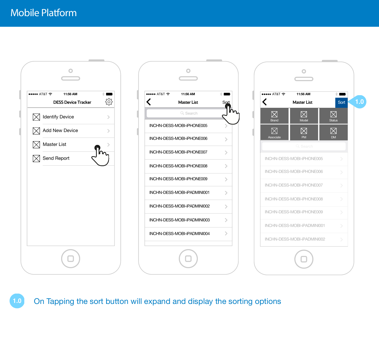





**1.0** On Tapping the sort button will expand and display the sorting options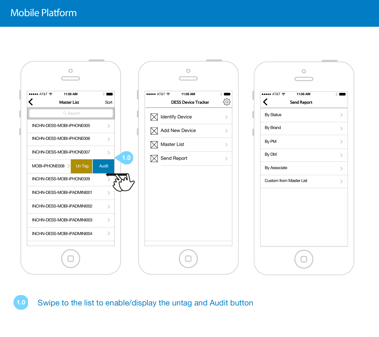

| ••••• AT&T ?<br>11:56 AM<br><b>DESS Device Tracker</b> | $\ast$        |
|--------------------------------------------------------|---------------|
| <b>Identify Device</b>                                 | ⋗             |
| <b>Add New Device</b>                                  | ⋋             |
| Master List                                            | ⋋             |
| Send Report                                            | $\mathcal{P}$ |
|                                                        |               |
|                                                        |               |
|                                                        |               |
|                                                        |               |
|                                                        |               |
|                                                        |               |

| $\widehat{\tau}$ T&TA 0000     | 11:56 AM           | $*$ |
|--------------------------------|--------------------|-----|
| く                              | <b>Send Report</b> |     |
| <b>By Status</b>               |                    |     |
| By Brand                       |                    |     |
| By PM                          |                    |     |
| By DM                          |                    |     |
| By Associate                   |                    |     |
| <b>Custom from Master List</b> |                    |     |
|                                |                    |     |
|                                |                    |     |
|                                |                    |     |
|                                |                    |     |
|                                |                    |     |

**1.0** Swipe to the list to enable/display the untag and Audit button